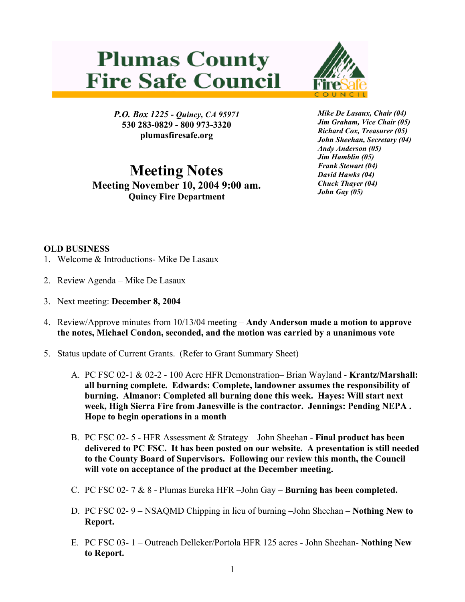## **Plumas County Fire Safe Council**



*P.O. Box 1225 - Quincy, CA 95971*  **530 283-0829 - 800 973-3320 plumasfiresafe.org** 

**Meeting Notes Meeting November 10, 2004 9:00 am. Quincy Fire Department**

*Mike De Lasaux, Chair (04) Jim Graham, Vice Chair (05) Richard Cox, Treasurer (05) John Sheehan, Secretary (04) Andy Anderson (05) Jim Hamblin (05) Frank Stewart (04) David Hawks (04) Chuck Thayer (04) John Gay (05)*

## **OLD BUSINESS**

- 1. Welcome & Introductions- Mike De Lasaux
- 2. Review Agenda Mike De Lasaux
- 3. Next meeting: **December 8, 2004**
- 4. Review/Approve minutes from 10/13/04 meeting **Andy Anderson made a motion to approve the notes, Michael Condon, seconded, and the motion was carried by a unanimous vote**
- 5. Status update of Current Grants. (Refer to Grant Summary Sheet)
	- A. PC FSC 02-1 & 02-2 100 Acre HFR Demonstration– Brian Wayland **Krantz/Marshall: all burning complete. Edwards: Complete, landowner assumes the responsibility of burning. Almanor: Completed all burning done this week. Hayes: Will start next week, High Sierra Fire from Janesville is the contractor. Jennings: Pending NEPA . Hope to begin operations in a month**
	- B. PC FSC 02- 5 HFR Assessment & Strategy John Sheehan - **Final product has been delivered to PC FSC. It has been posted on our website. A presentation is still needed to the County Board of Supervisors. Following our review this month, the Council will vote on acceptance of the product at the December meeting.**
	- C. PC FSC 02- 7 & 8 Plumas Eureka HFR –John Gay **Burning has been completed.**
	- D. PC FSC 02- 9 NSAQMD Chipping in lieu of burning –John Sheehan **Nothing New to Report.**
	- E. PC FSC 03- 1 Outreach Delleker/Portola HFR 125 acres John Sheehan- **Nothing New to Report.**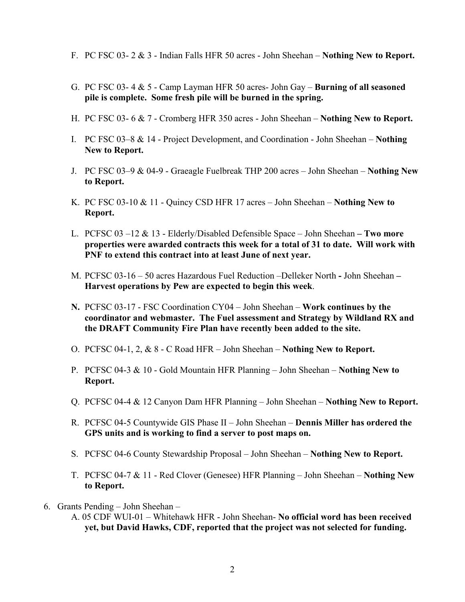- F. PC FSC 03- 2 & 3 Indian Falls HFR 50 acres John Sheehan **Nothing New to Report.**
- G. PC FSC 03- 4 & 5 Camp Layman HFR 50 acres- John Gay **Burning of all seasoned pile is complete. Some fresh pile will be burned in the spring.**
- H. PC FSC 03- 6 & 7 Cromberg HFR 350 acres John Sheehan **Nothing New to Report.**
- I. PC FSC 03–8 & 14 Project Development, and Coordination John Sheehan – **Nothing New to Report.**
- J. PC FSC 03–9 & 04-9 Graeagle Fuelbreak THP 200 acres John Sheehan **Nothing New to Report.**
- K. PC FSC 03-10 & 11 Quincy CSD HFR 17 acres John Sheehan – **Nothing New to Report.**
- L. PCFSC 03 –12 & 13 Elderly/Disabled Defensible Space John Sheehan  **Two more properties were awarded contracts this week for a total of 31 to date. Will work with PNF to extend this contract into at least June of next year.**
- M. PCFSC 03-16 50 acres Hazardous Fuel Reduction –Delleker North **-** John Sheehan **Harvest operations by Pew are expected to begin this week**.
- **N.** PCFSC 03-17 FSC Coordination CY04 John Sheehan **Work continues by the coordinator and webmaster. The Fuel assessment and Strategy by Wildland RX and the DRAFT Community Fire Plan have recently been added to the site.**
- O. PCFSC 04-1, 2, & 8 C Road HFR John Sheehan **Nothing New to Report.**
- P. PCFSC 04-3 & 10 Gold Mountain HFR Planning John Sheehan – **Nothing New to Report.**
- Q. PCFSC 04-4 & 12 Canyon Dam HFR Planning John Sheehan **Nothing New to Report.**
- R. PCFSC 04-5 Countywide GIS Phase II John Sheehan **Dennis Miller has ordered the GPS units and is working to find a server to post maps on.**
- S. PCFSC 04-6 County Stewardship Proposal John Sheehan **Nothing New to Report.**
- T. PCFSC 04-7 & 11 Red Clover (Genesee) HFR Planning John Sheehan – **Nothing New to Report.**
- 6. Grants Pending John Sheehan
	- A. 05 CDF WUI-01 Whitehawk HFR John Sheehan- **No official word has been received yet, but David Hawks, CDF, reported that the project was not selected for funding.**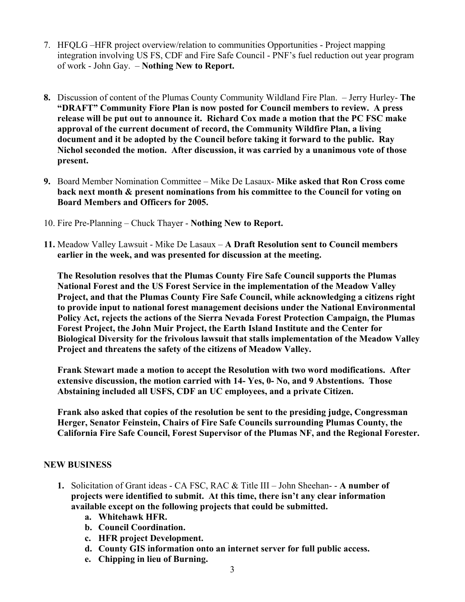- 7. HFQLG –HFR project overview/relation to communities Opportunities Project mapping integration involving US FS, CDF and Fire Safe Council - PNF's fuel reduction out year program of work - John Gay. – **Nothing New to Report.**
- **8.** Discussion of content of the Plumas County Community Wildland Fire Plan. Jerry Hurley- **The "DRAFT" Community Fiore Plan is now posted for Council members to review. A press release will be put out to announce it. Richard Cox made a motion that the PC FSC make approval of the current document of record, the Community Wildfire Plan, a living document and it be adopted by the Council before taking it forward to the public. Ray Nichol seconded the motion. After discussion, it was carried by a unanimous vote of those present.**
- **9.** Board Member Nomination Committee Mike De Lasaux- **Mike asked that Ron Cross come back next month & present nominations from his committee to the Council for voting on Board Members and Officers for 2005.**
- 10. Fire Pre-Planning Chuck Thayer **Nothing New to Report.**
- **11.** Meadow Valley Lawsuit Mike De Lasaux **A Draft Resolution sent to Council members earlier in the week, and was presented for discussion at the meeting.**

**The Resolution resolves that the Plumas County Fire Safe Council supports the Plumas National Forest and the US Forest Service in the implementation of the Meadow Valley Project, and that the Plumas County Fire Safe Council, while acknowledging a citizens right to provide input to national forest management decisions under the National Environmental Policy Act, rejects the actions of the Sierra Nevada Forest Protection Campaign, the Plumas Forest Project, the John Muir Project, the Earth Island Institute and the Center for Biological Diversity for the frivolous lawsuit that stalls implementation of the Meadow Valley Project and threatens the safety of the citizens of Meadow Valley.** 

**Frank Stewart made a motion to accept the Resolution with two word modifications. After extensive discussion, the motion carried with 14- Yes, 0- No, and 9 Abstentions. Those Abstaining included all USFS, CDF an UC employees, and a private Citizen.** 

**Frank also asked that copies of the resolution be sent to the presiding judge, Congressman Herger, Senator Feinstein, Chairs of Fire Safe Councils surrounding Plumas County, the California Fire Safe Council, Forest Supervisor of the Plumas NF, and the Regional Forester.** 

## **NEW BUSINESS**

- **1.** Solicitation of Grant ideas CA FSC, RAC & Title III John Sheehan- - **A number of projects were identified to submit. At this time, there isn't any clear information available except on the following projects that could be submitted.** 
	- **a. Whitehawk HFR.**
	- **b. Council Coordination.**
	- **c. HFR project Development.**
	- **d. County GIS information onto an internet server for full public access.**
	- **e. Chipping in lieu of Burning.**